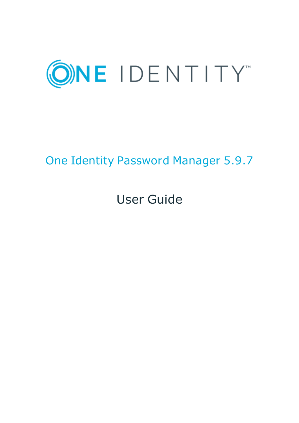

# One Identity Password Manager 5.9.7

# User Guide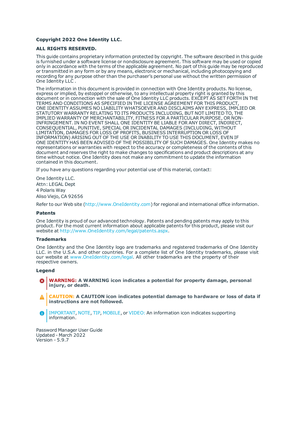#### **Copyright 2022 One Identity LLC.**

#### **ALL RIGHTS RESERVED.**

This guide contains proprietary information protected by copyright. The software described in this guide is furnished under a software license or nondisclosure agreement. This software may be used or copied only in accordance with the terms of the applicable agreement. No part of this guide may be reproduced or transmitted in any form or by any means, electronic or mechanical, including photocopying and recording for any purpose other than the purchaser's personal use without the written permission of One Identity LLC .

The information in this document is provided in connection with One Identity products. No license, express or implied, by estoppel or otherwise, to any intellectual property right is granted by this document or in connection with the sale of One Identity LLC products. EXCEPT AS SET FORTH IN THE TERMS AND CONDITIONS AS SPECIFIED IN THE LICENSE AGREEMENT FOR THIS PRODUCT, ONE IDENTITY ASSUMES NO LIABILITY WHATSOEVER AND DISCLAIMS ANY EXPRESS, IMPLIED OR STATUTORY WARRANTY RELATING TO ITS PRODUCTS INCLUDING, BUT NOT LIMITED TO, THE IMPLIED WARRANTY OF MERCHANTABILITY, FITNESS FOR A PARTICULAR PURPOSE, OR NON-INFRINGEMENT. IN NO EVENT SHALL ONE IDENTITY BE LIABLE FOR ANY DIRECT, INDIRECT, CONSEQUENTIAL, PUNITIVE, SPECIAL OR INCIDENTAL DAMAGES (INCLUDING, WITHOUT LIMITATION, DAMAGES FOR LOSS OF PROFITS, BUSINESS INTERRUPTION OR LOSS OF INFORMATION) ARISING OUT OF THE USE OR INABILITY TO USE THIS DOCUMENT, EVEN IF ONE IDENTITY HAS BEEN ADVISED OF THE POSSIBILITY OF SUCH DAMAGES. One Identity makes no representations or warranties with respect to the accuracy or completeness of the contents of this document and reserves the right to make changes to specifications and product descriptions at any time without notice. One Identity does not make any commitment to update the information contained in this document.

If you have any questions regarding your potential use of this material, contact:

One Identity LLC. Attn: LEGAL Dept 4 Polaris Way Aliso Viejo, CA 92656

Refer to our Web site ([http://www.OneIdentity.com](http://www.oneidentity.com/)) for regional and international office information.

#### **Patents**

One Identity is proud of our advanced technology. Patents and pending patents may apply to this product. For the most current information about applicable patents for this product, please visit our website at [http://www.OneIdentity.com/legal/patents.aspx](http://www.oneidentity.com/legal/patents.aspx).

#### **Trademarks**

One Identity and the One Identity logo are trademarks and registered trademarks of One Identity LLC. in the U.S.A. and other countries. For a complete list of One Identity trademarks, please visit our website at [www.OneIdentity.com/legal](http://www.oneidentity.com/legal). All other trademarks are the property of their respective owners.

#### **Legend**

- **WARNING: A WARNING icon indicates a potential for property damage, personal injury, or death.**
- **CAUTION: A CAUTION icon indicates potential damage to hardware or loss of data if instructions are not followed.**
- IMPORTANT, NOTE, TIP, MOBILE, or VIDEO: An information icon indicates supporting Œ information.

Password Manager User Guide Updated - March 2022 Version - 5.9.7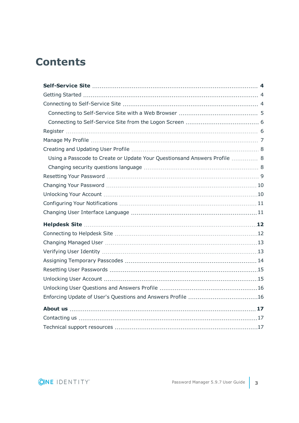# **Contents**

| Using a Passcode to Create or Update Your Questionsand Answers Profile  8 |  |
|---------------------------------------------------------------------------|--|
|                                                                           |  |
|                                                                           |  |
|                                                                           |  |
|                                                                           |  |
|                                                                           |  |
|                                                                           |  |
|                                                                           |  |
|                                                                           |  |
|                                                                           |  |
|                                                                           |  |
|                                                                           |  |
|                                                                           |  |
|                                                                           |  |
|                                                                           |  |
|                                                                           |  |
|                                                                           |  |
|                                                                           |  |
|                                                                           |  |

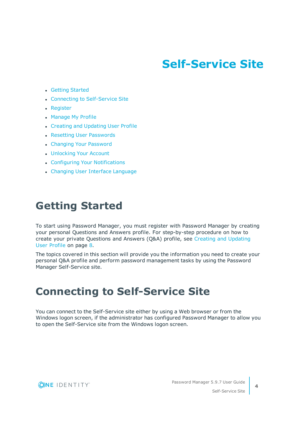# **Self-Service Site**

- <span id="page-3-0"></span>• Getting [Started](#page-3-1)
- Connecting to [Self-Service](#page-3-2) Site
- [Register](#page-5-1)
- [Manage](#page-6-0) My Profile
- Creating and Updating User Profile
- Resetting User [Passwords](#page-14-0)
- Changing Your [Password](#page-9-0)
- [Unlocking](#page-9-1) Your Account
- Configuring Your [Notifications](#page-10-0)
- Changing User Interface [Language](#page-10-1)

## <span id="page-3-1"></span>**Getting Started**

To start using Password Manager, you must register with Password Manager by creating your personal Questions and Answers profile. For step-by-step procedure on how to create your private Questions and Answers (Q&A) profile, see Creating and [Updating](#page-7-0)  User [Profile](#page-7-0) on page 8.

The topics covered in this section will provide you the information you need to create your personal Q&A profile and perform password management tasks by using the Password Manager Self-Service site.

## <span id="page-3-2"></span>**Connecting to Self-Service Site**

You can connect to the Self-Service site either by using a Web browser or from the Windows logon screen, if the administrator has configured Password Manager to allow you to open the Self-Service site from the Windows logon screen.



**4**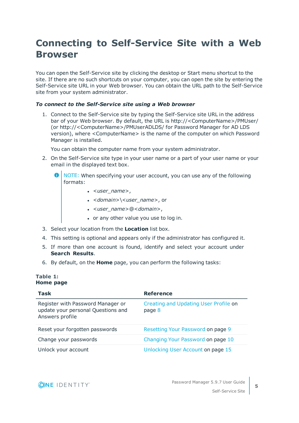## <span id="page-4-0"></span>**Connecting to Self-Service Site with a Web Browser**

You can open the Self-Service site by clicking the desktop or Start menu shortcut to the site. If there are no such shortcuts on your computer, you can open the site by entering the Self-Service site URL in your Web browser. You can obtain the URL path to the Self-Service site from your system administrator.

### *To connect to the Self-Service site using a Web browser*

1. Connect to the Self-Service site by typing the Self-Service site URL in the address bar of your Web browser. By default, the URL is http://<ComputerName>/PMUser/ (or http://<ComputerName>/PMUserADLDS/ for Password Manager for AD LDS version), where <ComputerName> is the name of the computer on which Password Manager is installed.

You can obtain the computer name from your system administrator.

- 2. On the Self-Service site type in your user name or a part of your user name or your email in the displayed text box.
	- Œ NOTE: When specifying your user account, you can use any of the following formats:
		- <sup>l</sup> <*user\_name*>,
		- <sup>l</sup> <*domain*>\<*user\_name*>, or
		- <sup>l</sup> <*user\_name*>@<*domain*>,
		- or any other value you use to log in.
- 3. Select your location from the **Location** list box.
- 4. This setting is optional and appears only if the administrator has configured it.
- 5. If more than one account is found, identify and select your account under **Search Results**.
- 6. By default, on the **Home** page, you can perform the following tasks:

### **Table 1: Home page**

| Task                                                                                       | <b>Reference</b>                                |
|--------------------------------------------------------------------------------------------|-------------------------------------------------|
| Register with Password Manager or<br>update your personal Questions and<br>Answers profile | Creating and Updating User Profile on<br>page 8 |
| Reset your forgotten passwords                                                             | Resetting Your Password on page 9               |
| Change your passwords                                                                      | Changing Your Password on page 10               |
| Unlock your account                                                                        | Unlocking User Account on page 15               |



**5**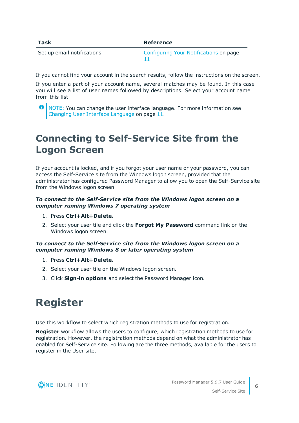| Task                       | Reference                              |
|----------------------------|----------------------------------------|
| Set up email notifications | Configuring Your Notifications on page |

If you cannot find your account in the search results, follow the instructions on the screen.

If you enter a part of your account name, several matches may be found. In this case you will see a list of user names followed by descriptions. Select your account name from this list.

## <span id="page-5-0"></span>**Connecting to Self-Service Site from the Logon Screen**

If your account is locked, and if you forgot your user name or your password, you can access the Self-Service site from the Windows logon screen, provided that the administrator has configured Password Manager to allow you to open the Self-Service site from the Windows logon screen.

## *To connect to the Self-Service site from the Windows logon screen on a computer running Windows 7 operating system*

- 1. Press **Ctrl+Alt+Delete.**
- 2. Select your user tile and click the **Forgot My Password** command link on the Windows logon screen.

## *To connect to the Self-Service site from the Windows logon screen on a computer running Windows 8 or later operating system*

- 1. Press **Ctrl+Alt+Delete.**
- 2. Select your user tile on the Windows logon screen.
- <span id="page-5-1"></span>3. Click **Sign-in options** and select the Password Manager icon.

# **Register**

Use this workflow to select which registration methods to use for registration.

**Register** workflow allows the users to configure, which registration methods to use for registration. However, the registration methods depend on what the administrator has enabled for Self-Service site. Following are the three methods, available for the users to register in the User site.



**O** NOTE: You can change the user interface language. For more information see Changing User Interface [Language](#page-10-1) on page 11.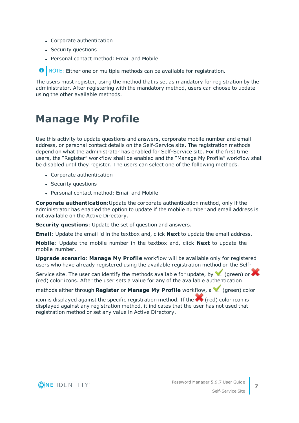- Corporate authentication
- Security questions
- Personal contact method: Email and Mobile

**O** NOTE: Either one or multiple methods can be available for registration.

The users must register, using the method that is set as mandatory for registration by the administrator. After registering with the mandatory method, users can choose to update using the other available methods.

## <span id="page-6-0"></span>**Manage My Profile**

Use this activity to update questions and answers, corporate mobile number and email address, or personal contact details on the Self-Service site. The registration methods depend on what the administrator has enabled for Self-Service site. For the first time users, the "Register" workflow shall be enabled and the "Manage My Profile" workflow shall be disabled until they register. The users can select one of the following methods.

- Corporate authentication
- Security questions
- Personal contact method: Email and Mobile

**Corporate authentication**:Update the corporate authentication method, only if the administrator has enabled the option to update if the mobile number and email address is not available on the Active Directory.

**Security questions**: Update the set of question and answers.

**Email**: Update the email id in the textbox and, click **Next** to update the email address.

**Mobile**: Update the mobile number in the textbox and, click **Next** to update the mobile number.

**Upgrade scenario**: **Manage My Profile** workflow will be available only for registered users who have already registered using the available registration method on the Self-

Service site. The user can identify the methods available for update, by  $\blacktriangledown$  (green) or  $\blacktriangledown$ (red) color icons. After the user sets a value for any of the available authentication

methods either through **Register** or **Manage My Profile** workflow, a  $\blacksquare$  (green) color

icon is displayed against the specific registration method. If the  $\blacktriangle$  (red) color icon is displayed against any registration method, it indicates that the user has not used that registration method or set any value in Active Directory.

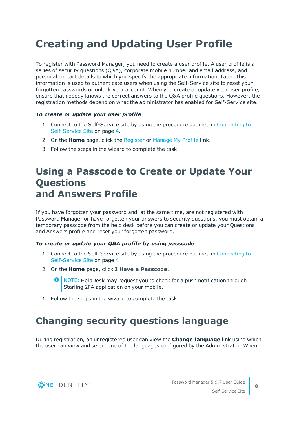# <span id="page-7-0"></span>**Creating and Updating User Profile**

To register with Password Manager, you need to create a user profile. A user profile is a series of security questions (Q&A), corporate mobile number and email address, and personal contact details to which you specify the appropriate information. Later, this information is used to authenticate users when using the Self-Service site to reset your forgotten passwords or unlock your account. When you create or update your user profile, ensure that nobody knows the correct answers to the Q&A profile questions. However, the registration methods depend on what the administrator has enabled for Self-Service site.

### *To create or update your user profile*

- 1. Connect to the Self-Service site by using the procedure outlined in [Connecting](#page-3-2) to [Self-Service](#page-3-2) Site on page 4.
- 2. On the **Home** page, click the [Register](#page-5-1) or [Manage](#page-6-0) My Profile link.
- <span id="page-7-1"></span>3. Follow the steps in the wizard to complete the task.

## **Using a Passcode to Create or Update Your Questions and Answers Profile**

If you have forgotten your password and, at the same time, are not registered with Password Manager or have forgotten your answers to security questions, you must obtain a temporary passcode from the help desk before you can create or update your Questions and Answers profile and reset your forgotten password.

### *To create or update your Q&A profile by using passcode*

- 1. Connect to the Self-Service site by using the procedure outlined in [Connecting](#page-3-2) to [Self-Service](#page-3-2) Site on page 4
- 2. On the **Home** page, click **I Have a Passcode**.

NOTE: HelpDesk may request you to check for a push notification through Starling 2FA application on your mobile.

<span id="page-7-2"></span>1. Follow the steps in the wizard to complete the task.

## **Changing security questions language**

During registration, an unregistered user can view the **Change language** link using which the user can view and select one of the languages configured by the Administrator. When



**8**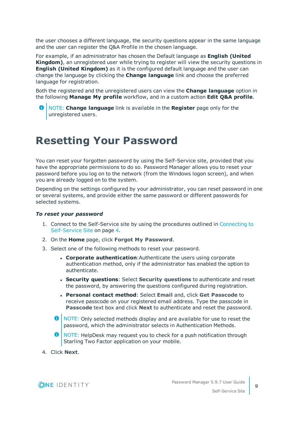the user chooses a different language, the security questions appear in the same language and the user can register the Q&A Profile in the chosen language.

For example, if an administrator has chosen the Default language as **English (United Kingdom)**, an unregistered user while trying to register will view the security questions in **English (United Kingdom)** as it is the configured default language and the user can change the language by clicking the **Change language** link and choose the preferred language for registration.

Both the registered and the unregistered users can view the **Change language** option in the following **Manage My profile** workflow, and in a custom action **Edit Q&A profile**.

NOTE: **Change language** link is available in the **Register** page only for the unregistered users.

## <span id="page-8-0"></span>**Resetting Your Password**

You can reset your forgotten password by using the Self-Service site, provided that you have the appropriate permissions to do so. Password Manager allows you to reset your password before you log on to the network (from the Windows logon screen), and when you are already logged on to the system.

Depending on the settings configured by your administrator, you can reset password in one or several systems, and provide either the same password or different passwords for selected systems.

### *To reset your password*

- 1. Connect to the Self-Service site by using the procedures outlined in [Connecting](#page-3-2) to [Self-Service](#page-3-2) Site on page 4.
- 2. On the **Home** page, click **Forgot My Password**.
- 3. Select one of the following methods to reset your password.
	- <sup>l</sup> **Corporate authentication**:Authenticate the users using corporate authentication method, only if the administrator has enabled the option to authenticate.
	- <sup>l</sup> **Security questions**: Select **Security questions** to authenticate and reset the password, by answering the questions configured during registration.
	- <sup>l</sup> **Personal contact method**: Select **Email** and, click **Get Passcode** to receive passcode on your registered email address. Type the passcode in **Passcode** text box and click **Next** to authenticate and reset the password.
	- **O** NOTE: Only selected methods display and are available for use to reset the password, which the administrator selects in Authentication Methods.
	- **O** NOTE: HelpDesk may request you to check for a push notification through Starling Two Factor application on your mobile.
- 4. Click **Next**.

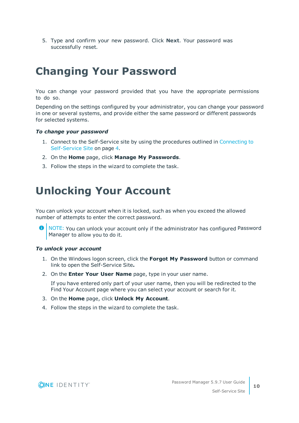5. Type and confirm your new password. Click **Next**. Your password was successfully reset.

# <span id="page-9-0"></span>**Changing Your Password**

You can change your password provided that you have the appropriate permissions to do so.

Depending on the settings configured by your administrator, you can change your password in one or several systems, and provide either the same password or different passwords for selected systems.

### *To change your password*

- 1. Connect to the Self-Service site by using the procedures outlined in [Connecting](#page-3-2) to [Self-Service](#page-3-2) Site on page 4.
- 2. On the **Home** page, click **Manage My Passwords**.
- <span id="page-9-1"></span>3. Follow the steps in the wizard to complete the task.

## **Unlocking Your Account**

You can unlock your account when it is locked, such as when you exceed the allowed number of attempts to enter the correct password.

6 NOTE: You can unlock your account only if the administrator has configured Password Manager to allow you to do it.

### *To unlock your account*

- 1. On the Windows logon screen, click the **Forgot My Password** button or command link to open the Self-Service Site**.**
- 2. On the **Enter Your User Name** page, type in your user name.

If you have entered only part of your user name, then you will be redirected to the Find Your Account page where you can select your account or search for it.

- 3. On the **Home** page, click **Unlock My Account**.
- 4. Follow the steps in the wizard to complete the task.

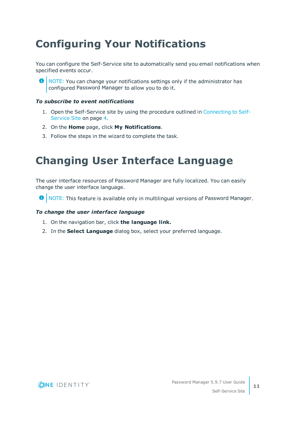# <span id="page-10-0"></span>**Configuring Your Notifications**

You can configure the Self-Service site to automatically send you email notifications when specified events occur.

**O** NOTE: You can change your notifications settings only if the administrator has configured Password Manager to allow you to do it.

### *To subscribe to event notifications*

- 1. Open the Self-Service site by using the procedure outlined in [Connecting](#page-3-2) to Self-[Service](#page-3-2) Site on page 4.
- 2. On the **Home** page, click **My Notifications**.
- <span id="page-10-1"></span>3. Follow the steps in the wizard to complete the task.

## **Changing User Interface Language**

The user interface resources of Password Manager are fully localized. You can easily change the user interface language.

**O** NOTE: This feature is available only in multilingual versions of Password Manager.

## *To change the user interface language*

- 1. On the navigation bar, click **the language link.**
- 2. In the **Select Language** dialog box, select your preferred language.

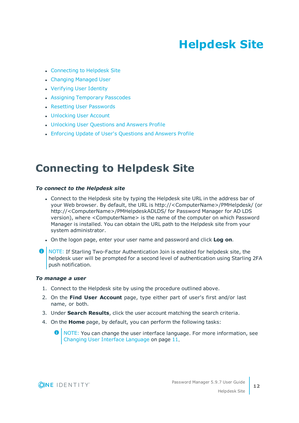# **Helpdesk Site**

- <span id="page-11-0"></span>• [Connecting](#page-11-1) to Helpdesk Site
- [Changing](#page-12-0) Managed User
- [Verifying](#page-12-1) User Identity
- Assigning [Temporary](#page-13-0) Passcodes
- Resetting User [Passwords](#page-14-0)
- [Unlocking](#page-14-1) User Account
- **.** [Unlocking](#page-15-0) User Questions and Answers Profile
- Enforcing Update of User's [Questions](#page-15-1) and Answers Profile

## <span id="page-11-1"></span>**Connecting to Helpdesk Site**

### *To connect to the Helpdesk site*

- Connect to the Helpdesk site by typing the Helpdesk site URL in the address bar of your Web browser. By default, the URL is http://<ComputerName>/PMHelpdesk/ (or http://<ComputerName>/PMHelpdeskADLDS/ for Password Manager for AD LDS version), where <ComputerName> is the name of the computer on which Password Manager is installed. You can obtain the URL path to the Helpdesk site from your system administrator.
- <sup>l</sup> On the logon page, enter your user name and password and click **Log on**.
- **O** NOTE: If Starling Two-Factor Authentication Join is enabled for helpdesk site, the helpdesk user will be prompted for a second level of authentication using Starling 2FA push notification.

#### *To manage a user*

- 1. Connect to the Helpdesk site by using the procedure outlined above.
- 2. On the **Find User Account** page, type either part of user's first and/or last name, or both.
- 3. Under **Search Results**, click the user account matching the search criteria.
- 4. On the **Home** page, by default, you can perform the following tasks:

**O** NOTE: You can change the user interface language. For more information, see Changing User Interface [Language](#page-10-1) on page 11.

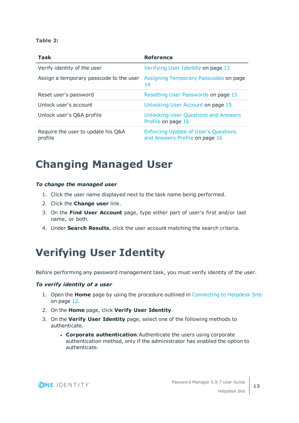### **Table 2:**

| <b>Task</b>                                   | <b>Reference</b>                                                              |
|-----------------------------------------------|-------------------------------------------------------------------------------|
| Verify identity of the user                   | Verifying User Identity on page 13                                            |
| Assign a temporary passcode to the user       | Assigning Temporary Passcodes on page<br>14                                   |
| Reset user's password                         | Resetting User Passwords on page 15                                           |
| Unlock user's account                         | Unlocking User Account on page 15                                             |
| Unlock user's Q&A profile                     | <b>Unlocking User Questions and Answers</b><br>Profile on page 16             |
| Require the user to update his Q&A<br>profile | <b>Enforcing Update of User's Questions</b><br>and Answers Profile on page 16 |

## <span id="page-12-0"></span>**Changing Managed User**

### *To change the managed user*

- 1. Click the user name displayed next to the task name being performed.
- 2. Click the **Change user** link.
- 3. On the **Find User Account** page, type either part of user's first and/or last name, or both.
- <span id="page-12-1"></span>4. Under **Search Results**, click the user account matching the search criteria.

## **Verifying User Identity**

Before performing any password management task, you must verify identity of the user.

#### *To verify identity of a user*

- 1. Open the **Home** page by using the procedure outlined in [Connecting](#page-11-1) to Helpdesk Site on [page](#page-11-1) 12.
- 2. On the **Home** page, click **Verify User Identity**.
- 3. On the **Verify User Identity** page, select one of the following methods to authenticate.
	- **. Corporate authentication:** Authenticate the users using corporate authentication method, only if the administrator has enabled the option to authenticate.

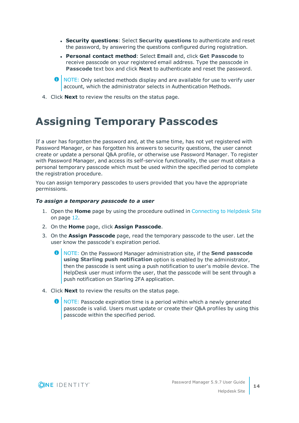- <sup>l</sup> **Security questions**: Select **Security questions** to authenticate and reset the password, by answering the questions configured during registration.
- <sup>l</sup> **Personal contact method**: Select **Email** and, click **Get Passcode** to receive passcode on your registered email address. Type the passcode in **Passcode** text box and click **Next** to authenticate and reset the password.
- **O** NOTE: Only selected methods display and are available for use to verify user account, which the administrator selects in Authentication Methods.
- <span id="page-13-0"></span>4. Click **Next** to review the results on the status page.

## **Assigning Temporary Passcodes**

If a user has forgotten the password and, at the same time, has not yet registered with Password Manager, or has forgotten his answers to security questions, the user cannot create or update a personal Q&A profile, or otherwise use Password Manager. To register with Password Manager, and access its self-service functionality, the user must obtain a personal temporary passcode which must be used within the specified period to complete the registration procedure.

You can assign temporary passcodes to users provided that you have the appropriate permissions.

### *To assign a temporary passcode to a user*

- 1. Open the **Home** page by using the procedure outlined in [Connecting](#page-11-1) to Helpdesk Site on [page](#page-11-1) 12.
- 2. On the **Home** page, click **Assign Passcode**.
- 3. On the **Assign Passcode** page, read the temporary passcode to the user. Let the user know the passcode's expiration period.
	- NOTE: On the Password Manager administration site, if the **Send passcode using Starling push notification** option is enabled by the administrator, then the passcode is sent using a push notification to user's mobile device. The HelpDesk user must inform the user, that the passcode will be sent through a push notification on Starling 2FA application.
- 4. Click **Next** to review the results on the status page.
	- NOTE: Passcode expiration time is a period within which a newly generated passcode is valid. Users must update or create their Q&A profiles by using this passcode within the specified period.

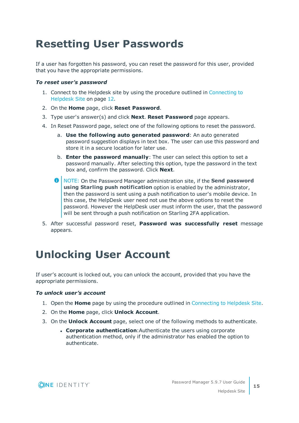# <span id="page-14-0"></span>**Resetting User Passwords**

If a user has forgotten his password, you can reset the password for this user, provided that you have the appropriate permissions.

### *To reset user's password*

- 1. Connect to the Helpdesk site by using the procedure outlined in [Connecting](#page-11-1) to [Helpdesk](#page-11-1) Site on page 12.
- 2. On the **Home** page, click **Reset Password**.
- 3. Type user's answer(s) and click **Next**. **Reset Password** page appears.
- 4. In Reset Password page, select one of the following options to reset the password.
	- a. **Use the following auto generated password**: An auto generated password suggestion displays in text box. The user can use this password and store it in a secure location for later use.
	- b. **Enter the password manually**: The user can select this option to set a password manually. After selecting this option, type the password in the text box and, confirm the password. Click **Next**.
	- $\bullet$ NOTE: On the Password Manager administration site, if the **Send password using Starling push notification** option is enabled by the administrator, then the password is sent using a push notification to user's mobile device. In this case, the HelpDesk user need not use the above options to reset the password. However the HelpDesk user must inform the user, that the password will be sent through a push notification on Starling 2FA application.
- 5. After successful password reset, **Password was successfully reset** message appears.

# <span id="page-14-1"></span>**Unlocking User Account**

If user's account is locked out, you can unlock the account, provided that you have the appropriate permissions.

## *To unlock user's account*

- 1. Open the **Home** page by using the procedure outlined in [Connecting](#page-11-1) to Helpdesk Site.
- 2. On the **Home** page, click **Unlock Account**.
- 3. On the **Unlock Account** page, select one of the following methods to authenticate.
	- <sup>l</sup> **Corporate authentication**:Authenticate the users using corporate authentication method, only if the administrator has enabled the option to authenticate.

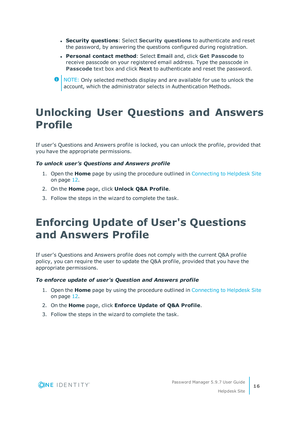- <sup>l</sup> **Security questions**: Select **Security questions** to authenticate and reset the password, by answering the questions configured during registration.
- <sup>l</sup> **Personal contact method**: Select **Email** and, click **Get Passcode** to receive passcode on your registered email address. Type the passcode in **Passcode** text box and click **Next** to authenticate and reset the password.
- **O** NOTE: Only selected methods display and are available for use to unlock the account, which the administrator selects in Authentication Methods.

## <span id="page-15-0"></span>**Unlocking User Questions and Answers Profile**

If user's Questions and Answers profile is locked, you can unlock the profile, provided that you have the appropriate permissions.

## *To unlock user's Questions and Answers profile*

- 1. Open the **Home** page by using the procedure outlined in [Connecting](#page-11-1) to Helpdesk Site on [page](#page-11-1) 12.
- 2. On the **Home** page, click **Unlock Q&A Profile**.
- <span id="page-15-1"></span>3. Follow the steps in the wizard to complete the task.

## **Enforcing Update of User's Questions and Answers Profile**

If user's Questions and Answers profile does not comply with the current Q&A profile policy, you can require the user to update the Q&A profile, provided that you have the appropriate permissions.

### *To enforce update of user's Question and Answers profile*

- 1. Open the **Home** page by using the procedure outlined in [Connecting](#page-11-1) to Helpdesk Site on [page](#page-11-1) 12.
- 2. On the **Home** page, click **Enforce Update of Q&A Profile**.
- 3. Follow the steps in the wizard to complete the task.